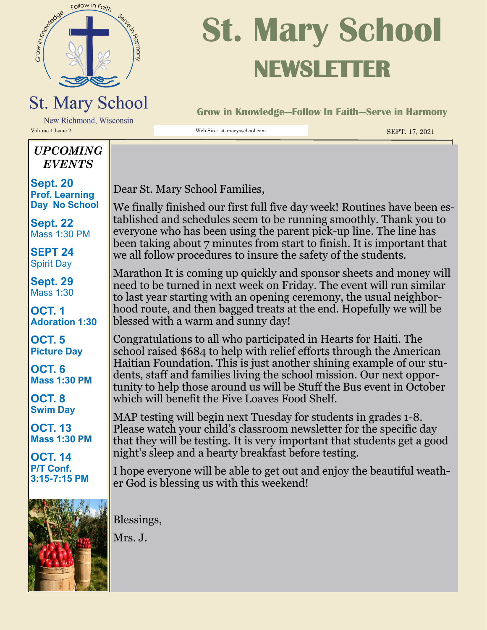

## **St. Mary School NEWSLETTER**

**Grow in Knowledge—Follow In Faith—Serve in Harmony**

New Richmond, Wisconsin Volume 1 Issue 2 Web Site: st-marysschool.com SEPT. 17, 2021

#### *UPCOMING EVENTS*

**Sept. 20 Prof. Learning Day No School** 

**Sept. 22**  Mass 1:30 PM

**SEPT 24**  Spirit Day

**Sept. 29**  Mass 1:30

**OCT. 1 Adoration 1:30**

**OCT. 5 Picture Day**

**OCT. 6 Mass 1:30 PM**

**OCT. 8 Swim Day**

**OCT. 13 Mass 1:30 PM**

**OCT. 14 P/T Conf. 3:15-7:15 PM**



Dear St. Mary School Families,

We finally finished our first full five day week! Routines have been established and schedules seem to be running smoothly. Thank you to everyone who has been using the parent pick-up line. The line has been taking about 7 minutes from start to finish. It is important that we all follow procedures to insure the safety of the students.

Marathon It is coming up quickly and sponsor sheets and money will need to be turned in next week on Friday. The event will run similar to last year starting with an opening ceremony, the usual neighborhood route, and then bagged treats at the end. Hopefully we will be blessed with a warm and sunny day!

Congratulations to all who participated in Hearts for Haiti. The school raised \$684 to help with relief efforts through the American Haitian Foundation. This is just another shining example of our students, staff and families living the school mission. Our next opportunity to help those around us will be Stuff the Bus event in October which will benefit the Five Loaves Food Shelf.

MAP testing will begin next Tuesday for students in grades 1-8. Please watch your child's classroom newsletter for the specific day that they will be testing. It is very important that students get a good night's sleep and a hearty breakfast before testing.

I hope everyone will be able to get out and enjoy the beautiful weather God is blessing us with this weekend!

Blessings,

Mrs. J.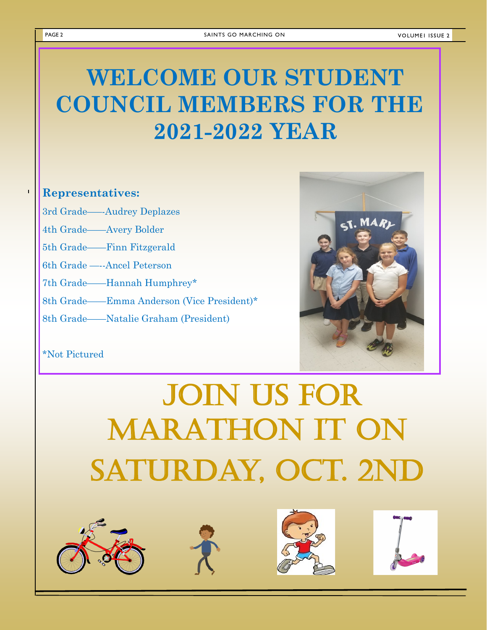**VOLUMEI ISSUE 2** 

### **WELCOME OUR STUDENT COUNCIL MEMBERS FOR THE 2021-2022 YEAR**

#### **Representatives:**

3rd Grade—–-Audrey Deplazes

4th Grade——Avery Bolder

5th Grade——Finn Fitzgerald

6th Grade —--Ancel Peterson

7th Grade——Hannah Humphrey\*

8th Grade——Emma Anderson (Vice President)\*

8th Grade——Natalie Graham (President)



#### \*Not Pictured

# JOIN US FOR MARATHON IT on SATURDAY, OCT. 2ND









 $\mathbf{r}$